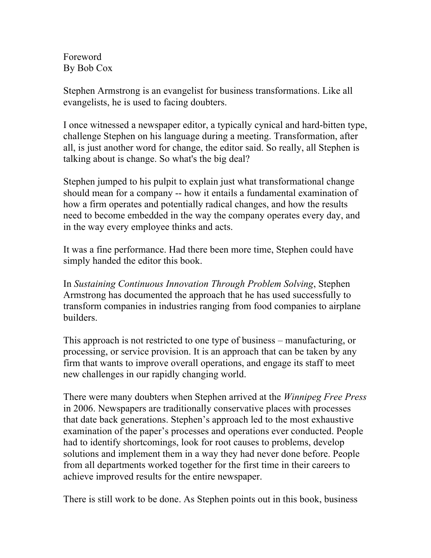Foreword By Bob Cox

Stephen Armstrong is an evangelist for business transformations. Like all evangelists, he is used to facing doubters.

I once witnessed a newspaper editor, a typically cynical and hard-bitten type, challenge Stephen on his language during a meeting. Transformation, after all, is just another word for change, the editor said. So really, all Stephen is talking about is change. So what's the big deal?

Stephen jumped to his pulpit to explain just what transformational change should mean for a company -- how it entails a fundamental examination of how a firm operates and potentially radical changes, and how the results need to become embedded in the way the company operates every day, and in the way every employee thinks and acts.

It was a fine performance. Had there been more time, Stephen could have simply handed the editor this book.

In *Sustaining Continuous Innovation Through Problem Solving*, Stephen Armstrong has documented the approach that he has used successfully to transform companies in industries ranging from food companies to airplane builders.

This approach is not restricted to one type of business – manufacturing, or processing, or service provision. It is an approach that can be taken by any firm that wants to improve overall operations, and engage its staff to meet new challenges in our rapidly changing world.

There were many doubters when Stephen arrived at the *Winnipeg Free Press* in 2006. Newspapers are traditionally conservative places with processes that date back generations. Stephen's approach led to the most exhaustive examination of the paper's processes and operations ever conducted. People had to identify shortcomings, look for root causes to problems, develop solutions and implement them in a way they had never done before. People from all departments worked together for the first time in their careers to achieve improved results for the entire newspaper.

There is still work to be done. As Stephen points out in this book, business